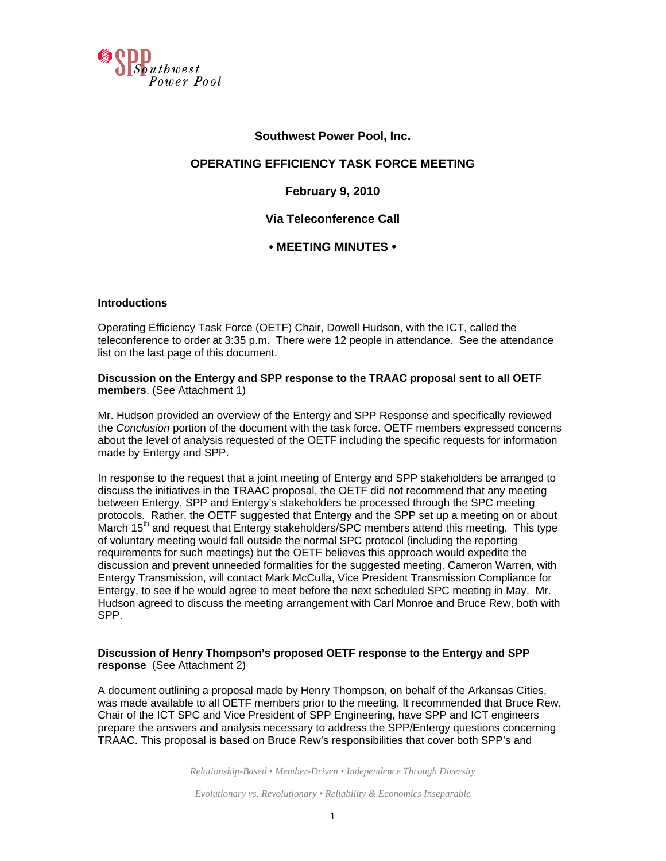

### **Southwest Power Pool, Inc.**

## **OPERATING EFFICIENCY TASK FORCE MEETING**

## **February 9, 2010**

## **Via Teleconference Call**

## **• MEETING MINUTES •**

#### **Introductions**

Operating Efficiency Task Force (OETF) Chair, Dowell Hudson, with the ICT, called the teleconference to order at 3:35 p.m. There were 12 people in attendance. See the attendance list on the last page of this document.

#### **Discussion on the Entergy and SPP response to the TRAAC proposal sent to all OETF members**. (See Attachment 1)

Mr. Hudson provided an overview of the Entergy and SPP Response and specifically reviewed the *Conclusion* portion of the document with the task force. OETF members expressed concerns about the level of analysis requested of the OETF including the specific requests for information made by Entergy and SPP.

In response to the request that a joint meeting of Entergy and SPP stakeholders be arranged to discuss the initiatives in the TRAAC proposal, the OETF did not recommend that any meeting between Entergy, SPP and Entergy's stakeholders be processed through the SPC meeting protocols. Rather, the OETF suggested that Entergy and the SPP set up a meeting on or about March 15<sup>th</sup> and request that Entergy stakeholders/ $\overline{SPC}$  members attend this meeting. This type of voluntary meeting would fall outside the normal SPC protocol (including the reporting requirements for such meetings) but the OETF believes this approach would expedite the discussion and prevent unneeded formalities for the suggested meeting. Cameron Warren, with Entergy Transmission, will contact Mark McCulla, Vice President Transmission Compliance for Entergy, to see if he would agree to meet before the next scheduled SPC meeting in May. Mr. Hudson agreed to discuss the meeting arrangement with Carl Monroe and Bruce Rew, both with SPP.

### **Discussion of Henry Thompson's proposed OETF response to the Entergy and SPP response** (See Attachment 2)

A document outlining a proposal made by Henry Thompson, on behalf of the Arkansas Cities, was made available to all OETF members prior to the meeting. It recommended that Bruce Rew, Chair of the ICT SPC and Vice President of SPP Engineering, have SPP and ICT engineers prepare the answers and analysis necessary to address the SPP/Entergy questions concerning TRAAC. This proposal is based on Bruce Rew's responsibilities that cover both SPP's and

*Relationship-Based • Member-Driven • Independence Through Diversity* 

*Evolutionary vs. Revolutionary • Reliability & Economics Inseparable*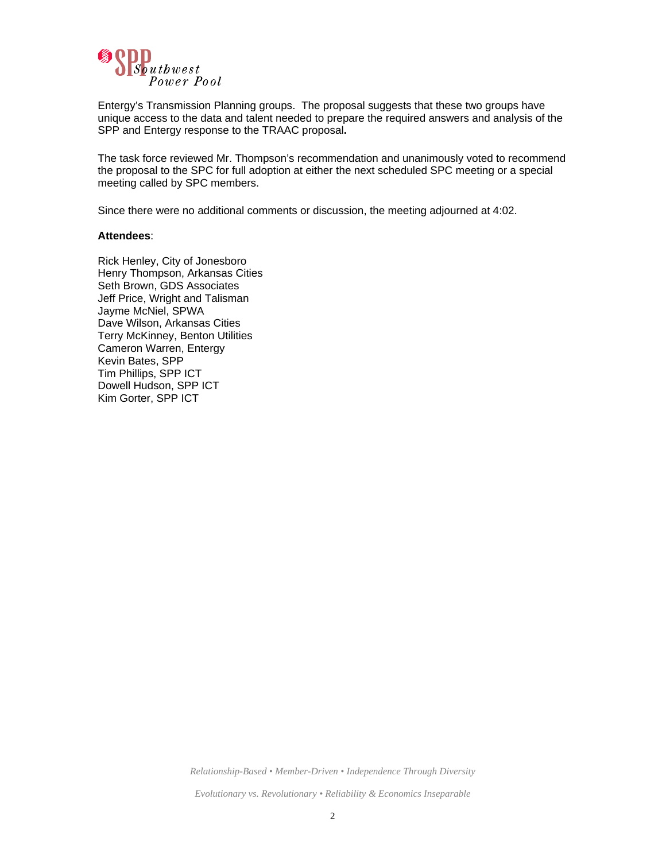

Entergy's Transmission Planning groups. The proposal suggests that these two groups have unique access to the data and talent needed to prepare the required answers and analysis of the SPP and Entergy response to the TRAAC proposal**.** 

The task force reviewed Mr. Thompson's recommendation and unanimously voted to recommend the proposal to the SPC for full adoption at either the next scheduled SPC meeting or a special meeting called by SPC members.

Since there were no additional comments or discussion, the meeting adjourned at 4:02.

#### **Attendees**:

Rick Henley, City of Jonesboro Henry Thompson, Arkansas Cities Seth Brown, GDS Associates Jeff Price, Wright and Talisman Jayme McNiel, SPWA Dave Wilson, Arkansas Cities Terry McKinney, Benton Utilities Cameron Warren, Entergy Kevin Bates, SPP Tim Phillips, SPP ICT Dowell Hudson, SPP ICT Kim Gorter, SPP ICT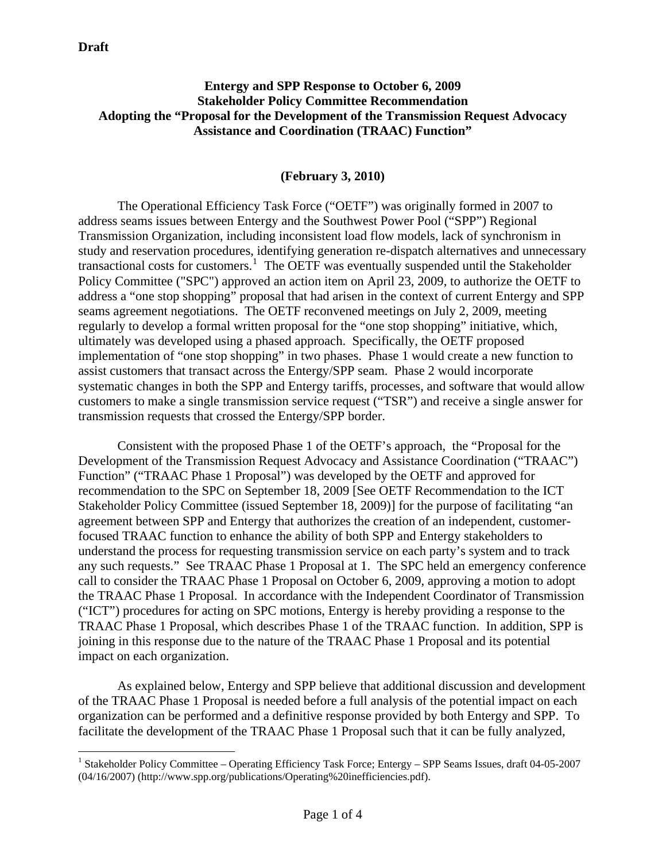$\overline{a}$ 

## **Entergy and SPP Response to October 6, 2009 Stakeholder Policy Committee Recommendation Adopting the "Proposal for the Development of the Transmission Request Advocacy Assistance and Coordination (TRAAC) Function"**

## **(February 3, 2010)**

The Operational Efficiency Task Force ("OETF") was originally formed in 2007 to address seams issues between Entergy and the Southwest Power Pool ("SPP") Regional Transmission Organization, including inconsistent load flow models, lack of synchronism in study and reservation procedures, identifying generation re-dispatch alternatives and unnecessary transactional costs for customers.<sup>[1](#page-2-0)</sup> The OETF was eventually suspended until the Stakeholder Policy Committee ("SPC") approved an action item on April 23, 2009, to authorize the OETF to address a "one stop shopping" proposal that had arisen in the context of current Entergy and SPP seams agreement negotiations. The OETF reconvened meetings on July 2, 2009, meeting regularly to develop a formal written proposal for the "one stop shopping" initiative, which, ultimately was developed using a phased approach. Specifically, the OETF proposed implementation of "one stop shopping" in two phases. Phase 1 would create a new function to assist customers that transact across the Entergy/SPP seam. Phase 2 would incorporate systematic changes in both the SPP and Entergy tariffs, processes, and software that would allow customers to make a single transmission service request ("TSR") and receive a single answer for transmission requests that crossed the Entergy/SPP border.

Consistent with the proposed Phase 1 of the OETF's approach, the "Proposal for the Development of the Transmission Request Advocacy and Assistance Coordination ("TRAAC") Function" ("TRAAC Phase 1 Proposal") was developed by the OETF and approved for recommendation to the SPC on September 18, 2009 [See OETF Recommendation to the ICT Stakeholder Policy Committee (issued September 18, 2009)] for the purpose of facilitating "an agreement between SPP and Entergy that authorizes the creation of an independent, customerfocused TRAAC function to enhance the ability of both SPP and Entergy stakeholders to understand the process for requesting transmission service on each party's system and to track any such requests." See TRAAC Phase 1 Proposal at 1. The SPC held an emergency conference call to consider the TRAAC Phase 1 Proposal on October 6, 2009, approving a motion to adopt the TRAAC Phase 1 Proposal. In accordance with the Independent Coordinator of Transmission ("ICT") procedures for acting on SPC motions, Entergy is hereby providing a response to the TRAAC Phase 1 Proposal, which describes Phase 1 of the TRAAC function. In addition, SPP is joining in this response due to the nature of the TRAAC Phase 1 Proposal and its potential impact on each organization.

As explained below, Entergy and SPP believe that additional discussion and development of the TRAAC Phase 1 Proposal is needed before a full analysis of the potential impact on each organization can be performed and a definitive response provided by both Entergy and SPP. To facilitate the development of the TRAAC Phase 1 Proposal such that it can be fully analyzed,

<span id="page-2-0"></span><sup>&</sup>lt;sup>1</sup> Stakeholder Policy Committee – Operating Efficiency Task Force; Entergy – SPP Seams Issues, draft 04-05-2007 (04/16/2007) (http://www.spp.org/publications/Operating%20inefficiencies.pdf).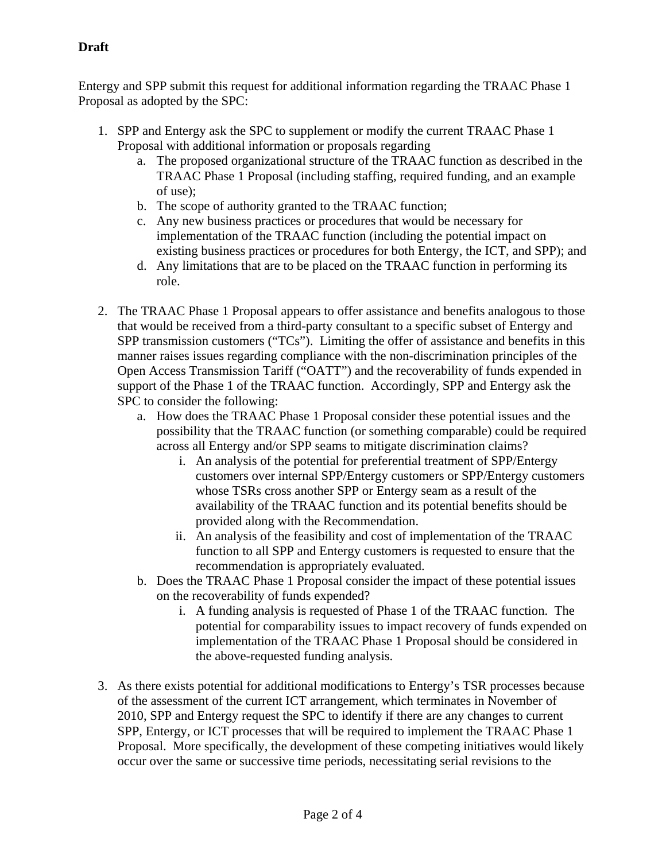# **Draft**

Entergy and SPP submit this request for additional information regarding the TRAAC Phase 1 Proposal as adopted by the SPC:

- 1. SPP and Entergy ask the SPC to supplement or modify the current TRAAC Phase 1 Proposal with additional information or proposals regarding
	- a. The proposed organizational structure of the TRAAC function as described in the TRAAC Phase 1 Proposal (including staffing, required funding, and an example of use);
	- b. The scope of authority granted to the TRAAC function;
	- c. Any new business practices or procedures that would be necessary for implementation of the TRAAC function (including the potential impact on existing business practices or procedures for both Entergy, the ICT, and SPP); and
	- d. Any limitations that are to be placed on the TRAAC function in performing its role.
- 2. The TRAAC Phase 1 Proposal appears to offer assistance and benefits analogous to those that would be received from a third-party consultant to a specific subset of Entergy and SPP transmission customers ("TCs"). Limiting the offer of assistance and benefits in this manner raises issues regarding compliance with the non-discrimination principles of the Open Access Transmission Tariff ("OATT") and the recoverability of funds expended in support of the Phase 1 of the TRAAC function. Accordingly, SPP and Entergy ask the SPC to consider the following:
	- a. How does the TRAAC Phase 1 Proposal consider these potential issues and the possibility that the TRAAC function (or something comparable) could be required across all Entergy and/or SPP seams to mitigate discrimination claims?
		- i. An analysis of the potential for preferential treatment of SPP/Entergy customers over internal SPP/Entergy customers or SPP/Entergy customers whose TSRs cross another SPP or Entergy seam as a result of the availability of the TRAAC function and its potential benefits should be provided along with the Recommendation.
		- ii. An analysis of the feasibility and cost of implementation of the TRAAC function to all SPP and Entergy customers is requested to ensure that the recommendation is appropriately evaluated.
	- b. Does the TRAAC Phase 1 Proposal consider the impact of these potential issues on the recoverability of funds expended?
		- i. A funding analysis is requested of Phase 1 of the TRAAC function. The potential for comparability issues to impact recovery of funds expended on implementation of the TRAAC Phase 1 Proposal should be considered in the above-requested funding analysis.
- 3. As there exists potential for additional modifications to Entergy's TSR processes because of the assessment of the current ICT arrangement, which terminates in November of 2010, SPP and Entergy request the SPC to identify if there are any changes to current SPP, Entergy, or ICT processes that will be required to implement the TRAAC Phase 1 Proposal. More specifically, the development of these competing initiatives would likely occur over the same or successive time periods, necessitating serial revisions to the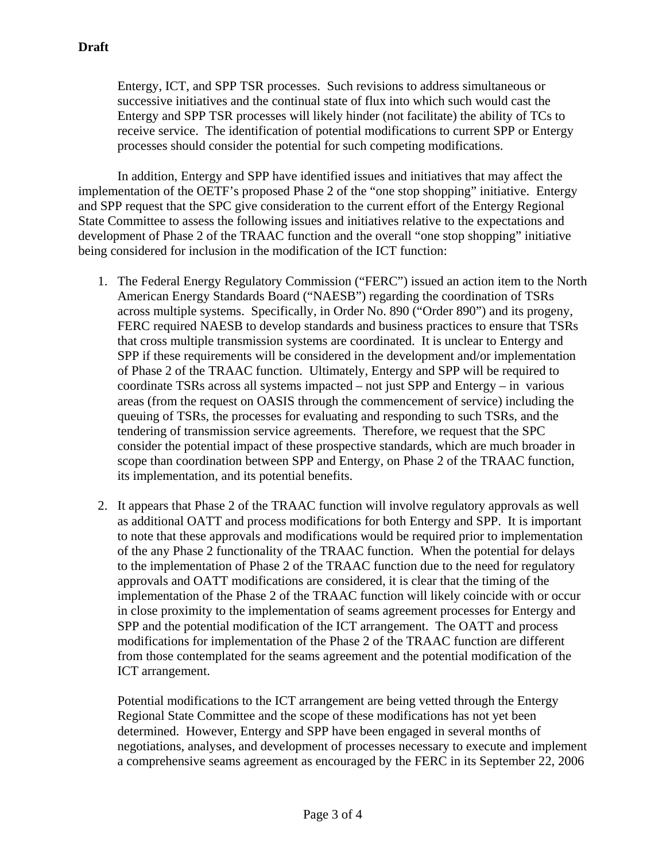Entergy, ICT, and SPP TSR processes. Such revisions to address simultaneous or successive initiatives and the continual state of flux into which such would cast the Entergy and SPP TSR processes will likely hinder (not facilitate) the ability of TCs to receive service. The identification of potential modifications to current SPP or Entergy processes should consider the potential for such competing modifications.

In addition, Entergy and SPP have identified issues and initiatives that may affect the implementation of the OETF's proposed Phase 2 of the "one stop shopping" initiative. Entergy and SPP request that the SPC give consideration to the current effort of the Entergy Regional State Committee to assess the following issues and initiatives relative to the expectations and development of Phase 2 of the TRAAC function and the overall "one stop shopping" initiative being considered for inclusion in the modification of the ICT function:

- 1. The Federal Energy Regulatory Commission ("FERC") issued an action item to the North American Energy Standards Board ("NAESB") regarding the coordination of TSRs across multiple systems. Specifically, in Order No. 890 ("Order 890") and its progeny, FERC required NAESB to develop standards and business practices to ensure that TSRs that cross multiple transmission systems are coordinated. It is unclear to Entergy and SPP if these requirements will be considered in the development and/or implementation of Phase 2 of the TRAAC function. Ultimately, Entergy and SPP will be required to coordinate TSRs across all systems impacted – not just SPP and Entergy – in various areas (from the request on OASIS through the commencement of service) including the queuing of TSRs, the processes for evaluating and responding to such TSRs, and the tendering of transmission service agreements. Therefore, we request that the SPC consider the potential impact of these prospective standards, which are much broader in scope than coordination between SPP and Entergy, on Phase 2 of the TRAAC function, its implementation, and its potential benefits.
- 2. It appears that Phase 2 of the TRAAC function will involve regulatory approvals as well as additional OATT and process modifications for both Entergy and SPP. It is important to note that these approvals and modifications would be required prior to implementation of the any Phase 2 functionality of the TRAAC function. When the potential for delays to the implementation of Phase 2 of the TRAAC function due to the need for regulatory approvals and OATT modifications are considered, it is clear that the timing of the implementation of the Phase 2 of the TRAAC function will likely coincide with or occur in close proximity to the implementation of seams agreement processes for Entergy and SPP and the potential modification of the ICT arrangement. The OATT and process modifications for implementation of the Phase 2 of the TRAAC function are different from those contemplated for the seams agreement and the potential modification of the ICT arrangement.

Potential modifications to the ICT arrangement are being vetted through the Entergy Regional State Committee and the scope of these modifications has not yet been determined. However, Entergy and SPP have been engaged in several months of negotiations, analyses, and development of processes necessary to execute and implement a comprehensive seams agreement as encouraged by the FERC in its September 22, 2006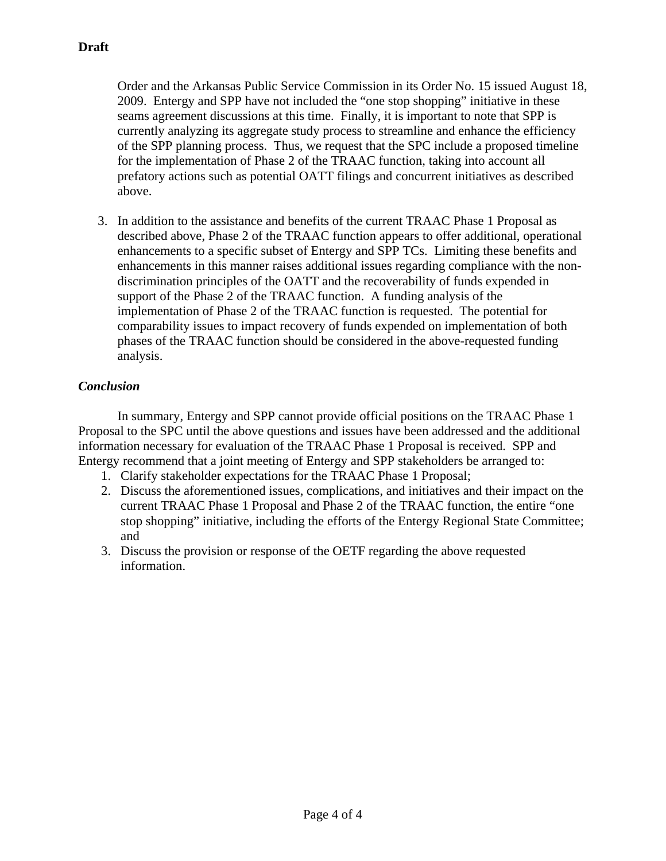Order and the Arkansas Public Service Commission in its Order No. 15 issued August 18, 2009. Entergy and SPP have not included the "one stop shopping" initiative in these seams agreement discussions at this time. Finally, it is important to note that SPP is currently analyzing its aggregate study process to streamline and enhance the efficiency of the SPP planning process. Thus, we request that the SPC include a proposed timeline for the implementation of Phase 2 of the TRAAC function, taking into account all prefatory actions such as potential OATT filings and concurrent initiatives as described above.

3. In addition to the assistance and benefits of the current TRAAC Phase 1 Proposal as described above, Phase 2 of the TRAAC function appears to offer additional, operational enhancements to a specific subset of Entergy and SPP TCs. Limiting these benefits and enhancements in this manner raises additional issues regarding compliance with the nondiscrimination principles of the OATT and the recoverability of funds expended in support of the Phase 2 of the TRAAC function. A funding analysis of the implementation of Phase 2 of the TRAAC function is requested. The potential for comparability issues to impact recovery of funds expended on implementation of both phases of the TRAAC function should be considered in the above-requested funding analysis.

# *Conclusion*

 In summary, Entergy and SPP cannot provide official positions on the TRAAC Phase 1 Proposal to the SPC until the above questions and issues have been addressed and the additional information necessary for evaluation of the TRAAC Phase 1 Proposal is received. SPP and Entergy recommend that a joint meeting of Entergy and SPP stakeholders be arranged to:

- 1. Clarify stakeholder expectations for the TRAAC Phase 1 Proposal;
- 2. Discuss the aforementioned issues, complications, and initiatives and their impact on the current TRAAC Phase 1 Proposal and Phase 2 of the TRAAC function, the entire "one stop shopping" initiative, including the efforts of the Entergy Regional State Committee; and
- 3. Discuss the provision or response of the OETF regarding the above requested information.